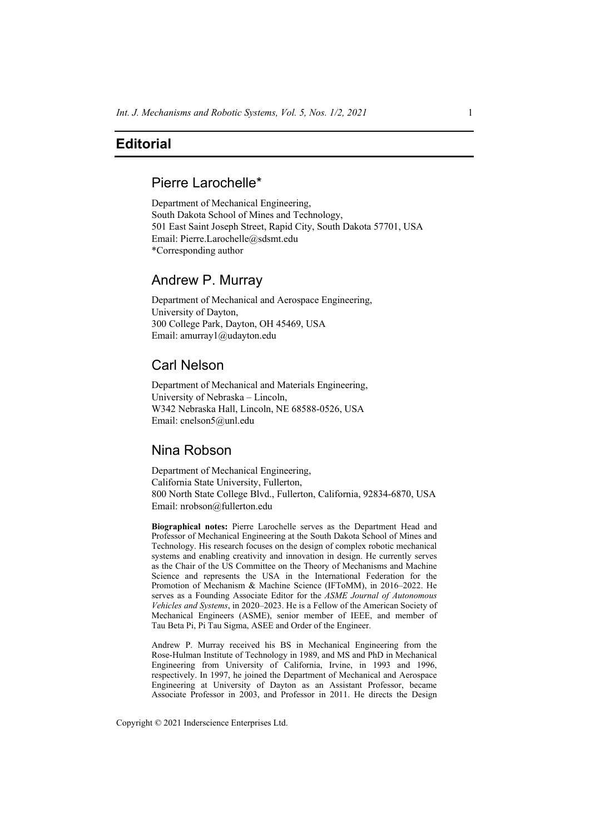## **Editorial**

# Pierre Larochelle\*

Department of Mechanical Engineering, South Dakota School of Mines and Technology, 501 East Saint Joseph Street, Rapid City, South Dakota 57701, USA Email: Pierre.Larochelle@sdsmt.edu \*Corresponding author

### Andrew P. Murray

Department of Mechanical and Aerospace Engineering, University of Dayton, 300 College Park, Dayton, OH 45469, USA Email: amurray1@udayton.edu

### Carl Nelson

Department of Mechanical and Materials Engineering, University of Nebraska – Lincoln, W342 Nebraska Hall, Lincoln, NE 68588-0526, USA Email: cnelson5@unl.edu

### Nina Robson

Department of Mechanical Engineering, California State University, Fullerton, 800 North State College Blvd., Fullerton, California, 92834-6870, USA Email: nrobson@fullerton.edu

**Biographical notes:** Pierre Larochelle serves as the Department Head and Professor of Mechanical Engineering at the South Dakota School of Mines and Technology. His research focuses on the design of complex robotic mechanical systems and enabling creativity and innovation in design. He currently serves as the Chair of the US Committee on the Theory of Mechanisms and Machine Science and represents the USA in the International Federation for the Promotion of Mechanism & Machine Science (IFToMM), in 2016–2022. He serves as a Founding Associate Editor for the *ASME Journal of Autonomous Vehicles and Systems*, in 2020–2023. He is a Fellow of the American Society of Mechanical Engineers (ASME), senior member of IEEE, and member of Tau Beta Pi, Pi Tau Sigma, ASEE and Order of the Engineer.

Andrew P. Murray received his BS in Mechanical Engineering from the Rose-Hulman Institute of Technology in 1989, and MS and PhD in Mechanical Engineering from University of California, Irvine, in 1993 and 1996, respectively. In 1997, he joined the Department of Mechanical and Aerospace Engineering at University of Dayton as an Assistant Professor, became Associate Professor in 2003, and Professor in 2011. He directs the Design